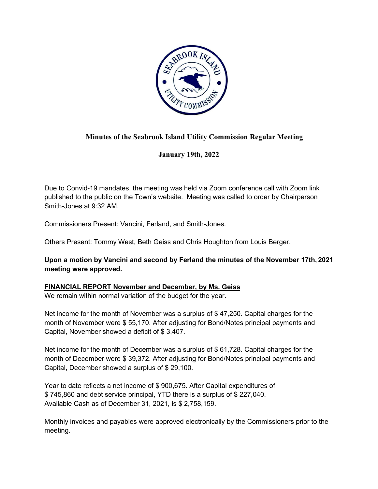

# **Minutes of the Seabrook Island Utility Commission Regular Meeting**

**January 19th, 2022**

Due to Convid-19 mandates, the meeting was held via Zoom conference call with Zoom link published to the public on the Town's website. Meeting was called to order by Chairperson Smith-Jones at 9:32 AM.

Commissioners Present: Vancini, Ferland, and Smith-Jones.

Others Present: Tommy West, Beth Geiss and Chris Houghton from Louis Berger.

**Upon a motion by Vancini and second by Ferland the minutes of the November 17th, 2021 meeting were approved.**

## **FINANCIAL REPORT November and December, by Ms. Geiss**

We remain within normal variation of the budget for the year.

Net income for the month of November was a surplus of \$47,250. Capital charges for the month of November were \$ 55,170. After adjusting for Bond/Notes principal payments and Capital, November showed a deficit of \$ 3,407.

Net income for the month of December was a surplus of \$61,728. Capital charges for the month of December were \$ 39,372. After adjusting for Bond/Notes principal payments and Capital, December showed a surplus of \$ 29,100.

Year to date reflects a net income of \$ 900,675. After Capital expenditures of \$ 745,860 and debt service principal, YTD there is a surplus of \$ 227,040. Available Cash as of December 31, 2021, is \$ 2,758,159.

Monthly invoices and payables were approved electronically by the Commissioners prior to the meeting.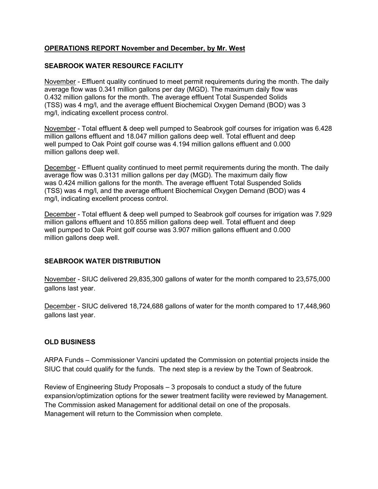## **OPERATIONS REPORT November and December, by Mr. West**

## **SEABROOK WATER RESOURCE FACILITY**

November - Effluent quality continued to meet permit requirements during the month. The daily average flow was 0.341 million gallons per day (MGD). The maximum daily flow was 0.432 million gallons for the month. The average effluent Total Suspended Solids (TSS) was 4 mg/l, and the average effluent Biochemical Oxygen Demand (BOD) was 3 mg/l, indicating excellent process control.

November - Total effluent & deep well pumped to Seabrook golf courses for irrigation was 6.428 million gallons effluent and 18.047 million gallons deep well. Total effluent and deep well pumped to Oak Point golf course was 4.194 million gallons effluent and 0.000 million gallons deep well.

December - Effluent quality continued to meet permit requirements during the month. The daily average flow was 0.3131 million gallons per day (MGD). The maximum daily flow was 0.424 million gallons for the month. The average effluent Total Suspended Solids (TSS) was 4 mg/l, and the average effluent Biochemical Oxygen Demand (BOD) was 4 mg/l, indicating excellent process control.

December - Total effluent & deep well pumped to Seabrook golf courses for irrigation was 7.929 million gallons effluent and 10.855 million gallons deep well. Total effluent and deep well pumped to Oak Point golf course was 3.907 million gallons effluent and 0.000 million gallons deep well.

#### **SEABROOK WATER DISTRIBUTION**

November - SIUC delivered 29,835,300 gallons of water for the month compared to 23,575,000 gallons last year.

December - SIUC delivered 18,724,688 gallons of water for the month compared to 17,448,960 gallons last year.

#### **OLD BUSINESS**

ARPA Funds – Commissioner Vancini updated the Commission on potential projects inside the SIUC that could qualify for the funds. The next step is a review by the Town of Seabrook.

Review of Engineering Study Proposals – 3 proposals to conduct a study of the future expansion/optimization options for the sewer treatment facility were reviewed by Management. The Commission asked Management for additional detail on one of the proposals. Management will return to the Commission when complete.